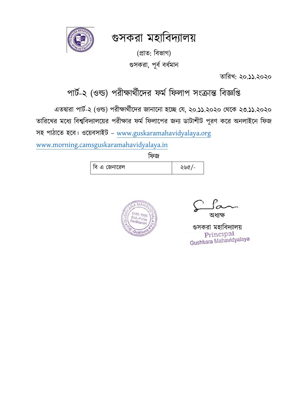গুসকরা মহাবিদ্যালয়



(প্রাত: বিভাগ) গুসকরা, পূর্ব বর্ধমান

তাবরখ: ২০.১১.২০২০

## পার্ব-২ (ওল্ড) পরীক্ষার্বীদদ্র ফমব বফলাপ সংক্রান্ত বিজ্ঞবি

এতদ্বারা পার্ব-২ (ওল্ড) পরীক্ষার্বীদদ্র জানাদনা হদে যে, ২০.১১.২০২০ যর্দক ২৩.১১.২০২০ তারিখের মধ্যে বিশ্ববিদ্যালয়ের পরীক্ষার ফর্ম ফিলাপের জন্য ডাটাশীট পূরণ করে অনলাইনে ফিজ

সহ পাঠাতে হবে। ওয়েবসাইট – [www.guskaramahavidyalaya.org](http://www.guskaramahavidyalaya.org/)

www.morning.[camsguskaramahavidyalaya.in](http://www.morning.camsguskaramahavidyalaya.in/)

ফিজ



অর্যক্ষ

গুসকরা মহাবিদ্যালয় Gushkara Mahavidyalaya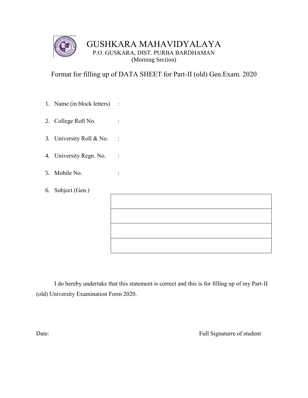

## GUSHKARA MAHAVIDYALAYA P.O. GUSKARA, DIST. PURBA BARDHAMAN (Morning Section)

Format for filling up of DATA SHEET for Part-II (old) Gen.Exam. 2020

- 1. Name (in block letters) :
- 2. College Roll No. :
- 3. University Roll & No. :
- 4. University Regn. No. :
- 5. Mobile No. :
- 6. Subject (Gen.)

I do hereby undertake that this statement is correct and this is for filling up of my Part-II (old) University Examination Form 2020.

Date: Full Signaturre of student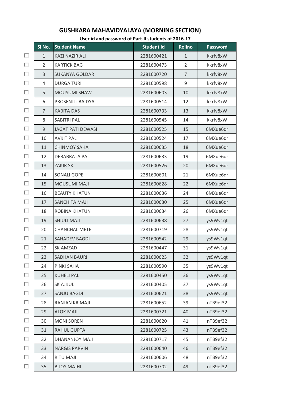|   | SI No.         | <u>.</u><br><b>Student Name</b> | <b>Student Id</b> | <b>Rollno</b>  | <b>Password</b> |
|---|----------------|---------------------------------|-------------------|----------------|-----------------|
| П | $\mathbf{1}$   | <b>KAZI NAZIR ALI</b>           | 2281600421        | $\mathbf{1}$   | kkrfv8xW        |
| П | $\overline{2}$ | <b>KARTICK BAG</b>              | 2281600473        | $\overline{2}$ | kkrfv8xW        |
| П | 3              | <b>SUKANYA GOLDAR</b>           | 2281600720        | $\overline{7}$ | kkrfv8xW        |
| П | 4              | <b>DURGA TURI</b>               | 2281600598        | 9              | kkrfv8xW        |
| П | 5              | <b>MOUSUMI SHAW</b>             | 2281600603        | 10             | kkrfv8xW        |
| п | 6              | PROSENJIT BAIDYA                | 2281600514        | 12             | kkrfv8xW        |
| П | $\overline{7}$ | <b>KABITA DAS</b>               | 2281600733        | 13             | kkrfv8xW        |
| П | 8              | SABITRI PAL                     | 2281600545        | 14             | kkrfv8xW        |
| П | 9              | <b>JAGAT PATI DEWASI</b>        | 2281600525        | 15             | 6MXue6dr        |
| п | 10             | <b>AVIJIT PAL</b>               | 2281600524        | 17             | 6MXue6dr        |
| п | 11             | <b>CHINMOY SAHA</b>             | 2281600635        | 18             | 6MXue6dr        |
| П | 12             | <b>DEBABRATA PAL</b>            | 2281600633        | 19             | 6MXue6dr        |
| п | 13             | <b>ZAKIR SK</b>                 | 2281600526        | 20             | 6MXue6dr        |
| п | 14             | <b>SONALI GOPE</b>              | 2281600601        | 21             | 6MXue6dr        |
| П | 15             | <b>MOUSUMI MAJI</b>             | 2281600628        | 22             | 6MXue6dr        |
| п | 16             | <b>BEAUTY KHATUN</b>            | 2281600636        | 24             | 6MXue6dr        |
| П | 17             | SANCHITA MAJI                   | 2281600630        | 25             | 6MXue6dr        |
| П | 18             | ROBINA KHATUN                   | 2281600634        | 26             | 6MXue6dr        |
| п | 19             | <b>SHIULI MAJI</b>              | 2281600638        | 27             | ys9Wv1qt        |
| п | 20             | <b>CHANCHAL METE</b>            | 2281600719        | 28             | ys9Wv1qt        |
| П | 21             | <b>SAHADEV BAGDI</b>            | 2281600542        | 29             | ys9Wv1qt        |
| П | 22             | <b>SK AMZAD</b>                 | 2281600447        | 31             | ys9Wv1qt        |
| П | 23             | <b>SADHAN BAURI</b>             | 2281600623        | 32             | ys9Wv1qt        |
| П | 24             | PINKI SAHA                      | 2281600590        | 35             | ys9Wv1qt        |
| П | 25             | <b>KUHELI PAL</b>               | 2281600450        | 36             | ys9Wv1qt        |
| П | 26             | <b>SK AJIJUL</b>                | 2281600405        | 37             | ys9Wv1qt        |
| П | 27             | <b>SANJU BAGDI</b>              | 2281600621        | 38             | ys9Wv1qt        |
| П | 28             | RANJAN KR MAJI                  | 2281600652        | 39             | nTB9ef32        |
| П | 29             | <b>ALOK MAJI</b>                | 2281600721        | 40             | nTB9ef32        |
| П | 30             | <b>MONI SOREN</b>               | 2281600620        | 41             | nTB9ef32        |
| П | 31             | <b>RAHUL GUPTA</b>              | 2281600725        | 43             | nTB9ef32        |
| П | 32             | DHANANJOY MAJI                  | 2281600717        | 45             | nTB9ef32        |
| П | 33             | <b>NARGIS PARVIN</b>            | 2281600640        | 46             | nTB9ef32        |
| П | 34             | <b>RITU MAJI</b>                | 2281600606        | 48             | nTB9ef32        |
| П | 35             | <b>IHLAN YOLIB</b>              | 2281600702        | 49             | nTB9ef32        |

## **GUSHKARA MAHAVIDYALAYA (MORNING SECTION)**

**User id and password of Part-II students of 2016-17**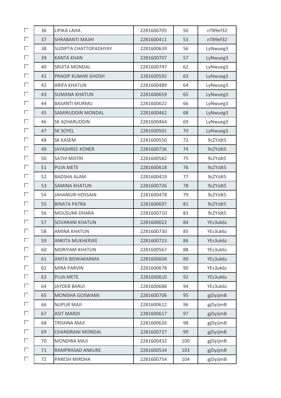| П | 36 | LIPIKA LAHA               | 2281600705 | 50  | nTB9ef32 |
|---|----|---------------------------|------------|-----|----------|
| □ | 37 | <b>SHRABANTI MAJHI</b>    | 2281600411 | 53  | nTB9ef32 |
| п | 38 | SUDIPTA CHATTOPADHYAY     | 2281600639 | 56  | LyNwueg3 |
| п | 39 | <b>KANTA KHAN</b>         | 2281600707 | 57  | LyNwueg3 |
| П | 40 | <b>SRIJITA MONDAL</b>     | 2281600747 | 62  | LyNwueg3 |
| п | 41 | <b>PRADIP KUMAR GHOSH</b> | 2281600592 | 63  | LyNwueg3 |
| п | 42 | <b>ARIFA KHATUN</b>       | 2281600489 | 64  | LyNwueg3 |
| п | 43 | <b>SUMANA KHATUN</b>      | 2281600659 | 65  | LyNwueg3 |
| п | 44 | <b>BASANTI MURMU</b>      | 2281600622 | 66  | LyNwueg3 |
| П | 45 | SAMIRUDDIN MONDAL         | 2281600462 | 68  | LyNwueg3 |
| п | 46 | SK AZHARUDDIN             | 2281600464 | 69  | LyNwueg3 |
| п | 47 | <b>SK SOYEL</b>           | 2281600501 | 70  | LyNwueg3 |
| П | 48 | <b>SK KASEM</b>           | 2281600550 | 72  | 9cZYJdt5 |
| п | 49 | <b>JAYASHREE KONER</b>    | 2281600736 | 74  | 9cZYJdt5 |
| п | 50 | <b>SATHI MISTRI</b>       | 2281600582 | 75  | 9cZYJdt5 |
| п | 51 | <b>PUJA METE</b>          | 2281600618 | 76  | 9cZYJdt5 |
| п | 52 | <b>BADSHA ALAM</b>        | 2281600419 | 77  | 9cZYJdt5 |
| П | 53 | <b>SAMINA KHATUN</b>      | 2281600726 | 78  | 9cZYJdt5 |
| П | 54 | <b>JAHANGIR HOSSAIN</b>   | 2281600478 | 79  | 9cZYJdt5 |
| п | 55 | <b>BINATA PATRA</b>       | 2281600697 | 81  | 9cZYJdt5 |
| п | 56 | MOUSUMI DHARA             | 2281600710 | 83  | 9cZYJdt5 |
| □ | 57 | <b>SOVARANI KHATUN</b>    | 2281600022 | 84  | YEs3uk6z |
| П | 58 | <b>AMINA KHATUN</b>       | 2281600730 | 85  | YEs3uk6z |
| п | 59 | <b>ANKITA MUKHERJEE</b>   | 2281600723 | 86  | YEs3uk6z |
| п | 60 | <b>MORIYAM KHATUN</b>     | 2281600567 | 88  | YEs3uk6z |
| П | 61 | ANITA BISWAKARMA          | 2281600604 | 89  | YEs3uk6z |
| П | 62 | <b>MIRA PARVIN</b>        | 2281600678 | 90  | YEs3uk6z |
| П | 63 | <b>PUJA METE</b>          | 2281600610 | 92  | YEs3uk6z |
| П | 64 | <b>JAYDEB BARUI</b>       | 2281600688 | 94  | YEs3uk6z |
| П | 65 | MONISHA GOSWAMI           | 2281600706 | 95  | gjDyJjmB |
| п | 66 | <b>NUPUR MAJI</b>         | 2281600612 | 96  | gjDyJjmB |
| П | 67 | <b>ASIT MARDI</b>         | 2281600617 | 97  | gjDyJjmB |
| п | 68 | <b>TRISHNA MAJI</b>       | 2281600626 | 98  | gjDyJjmB |
| П | 69 | CHANDRANI MONDAL          | 2281600727 | 99  | gjDyJjmB |
| П | 70 | <b>MONDIRA MAJI</b>       | 2281600432 | 100 | gjDyJjmB |
| п | 71 | RAMPRASAD ANKURE          | 2281600534 | 103 | gjDyJjmB |
| П | 72 | PARESH MIRDHA             | 2281600754 | 104 | gjDyJjmB |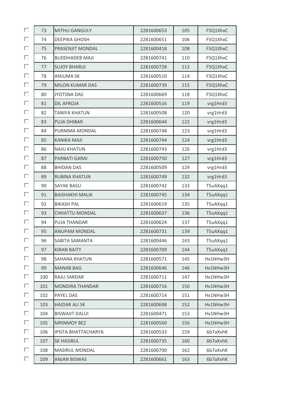| П | 73  | <b>MITHU GANGULY</b>       | 2281600653 | 105 | F5Q1XhxC |
|---|-----|----------------------------|------------|-----|----------|
| П | 74  | <b>DEEPIKA GHOSH</b>       | 2281600651 | 106 | F5Q1XhxC |
| П | 75  | PRASENJIT MONDAL           | 2281600418 | 108 | F5Q1XhxC |
| п | 76  | <b>BUDDHADEB MAJI</b>      | 2281600741 | 110 | F5Q1XhxC |
| П | 77  | <b>SUJOY BHARUI</b>        | 2281600728 | 112 | F5Q1XhxC |
| П | 78  | <b>ANJUMA SK</b>           | 2281600510 | 114 | F5Q1XhxC |
| П | 79  | <b>MILON KUMAR DAS</b>     | 2281600739 | 115 | F5Q1XhxC |
| П | 80  | <b>JYOTSNA DAS</b>         | 2281600669 | 118 | F5Q1XhxC |
| п | 81  | <b>DIL AFROJA</b>          | 2281600516 | 119 | vrg1Hrd3 |
| П | 82  | <b>TANIYA KHATUN</b>       | 2281600508 | 120 | vrg1Hrd3 |
| п | 83  | <b>PUJA DHIBAR</b>         | 2281600644 | 122 | vrg1Hrd3 |
| П | 84  | PURNIMA MONDAL             | 2281600748 | 123 | vrg1Hrd3 |
| П | 85  | <b>KANIKA MAJI</b>         | 2281600744 | 124 | vrg1Hrd3 |
| П | 86  | <b>NAJU KHATUN</b>         | 2281600743 | 126 | vrg1Hrd3 |
| П | 87  | PARBATI GARAI              | 2281600750 | 127 | vrg1Hrd3 |
| П | 88  | <b>BHIDAN DAS</b>          | 2281600509 | 129 | vrg1Hrd3 |
| п | 89  | <b>RUBINA KHATUN</b>       | 2281600749 | 132 | vrg1Hrd3 |
| П | 90  | <b>SAYAK BASU</b>          | 2281600742 | 133 | T5uAXqq1 |
| П | 91  | <b>BAISHAKHI MALIK</b>     | 2281600745 | 134 | T5uAXqq1 |
| п | 92  | <b>BIKASH PAL</b>          | 2281600619 | 135 | T5uAXqq1 |
| П | 93  | <b>CHHATTU MONDAL</b>      | 2281600637 | 136 | T5uAXqq1 |
| п | 94  | PUJA THANDAR               | 2281600624 | 137 | T5uAXqq1 |
| П | 95  | ANUPAM MONDAL              | 2281600731 | 139 | T5uAXqq1 |
| п | 96  | SABITA SAMANTA             | 2281600446 | 143 | T5uAXqq1 |
| П | 97  | <b>KIRAN BAITY</b>         | 2281600709 | 144 | T5uAXqq1 |
| П | 98  | SAHANA KHATUN              | 2281600571 | 145 | Hx1NHw3H |
| П | 99  | <b>MANAB BAG</b>           | 2281600646 | 146 | Hx1NHw3H |
| П | 100 | RAJU SARDAR                | 2281600711 | 147 | Hx1NHw3H |
| П | 101 | <b>MONDIRA THANDAR</b>     | 2281600716 | 150 | Hx1NHw3H |
| П | 102 | PAYEL DAS                  | 2281600714 | 151 | Hx1NHw3H |
| П | 103 | <b>HAIDAR ALI SK</b>       | 2281600698 | 152 | Hx1NHw3H |
| П | 104 | <b>BISWAJIT DALUI</b>      | 2281600471 | 153 | Hx1NHw3H |
| П | 105 | <b>MRINMOY BEZ</b>         | 2281600560 | 156 | Hx1NHw3H |
| П | 106 | <b>IPSITA BHATTACHARYA</b> | 2281600533 | 159 | 6b7aXvhK |
| п | 107 | <b>SK HASIBUL</b>          | 2281600735 | 160 | 6b7aXvhK |
| П | 108 | <b>MASIRUL MONDAL</b>      | 2281600700 | 162 | 6b7aXvhK |
| П | 109 | <b>ANJAN BISWAS</b>        | 2281600661 | 163 | 6b7aXvhK |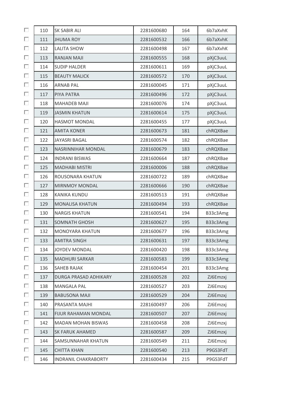| П | 110 | SK SABIR ALI                | 2281600680 | 164 | 6b7aXvhK |
|---|-----|-----------------------------|------------|-----|----------|
| П | 111 | <b>JHUMA ROY</b>            | 2281600532 | 166 | 6b7aXvhK |
| П | 112 | <b>LALITA SHOW</b>          | 2281600498 | 167 | 6b7aXvhK |
| П | 113 | <b>RANJAN MAJI</b>          | 2281600555 | 168 | pXjC3uuL |
| П | 114 | <b>SUDIP HALDER</b>         | 2281600611 | 169 | pXjC3uuL |
| П | 115 | <b>BEAUTY MALICK</b>        | 2281600572 | 170 | pXjC3uuL |
| П | 116 | <b>ARNAB PAL</b>            | 2281600045 | 171 | pXjC3uuL |
| П | 117 | PIYA PATRA                  | 2281600496 | 172 | pXjC3uuL |
| П | 118 | <b>MAHADEB MAJI</b>         | 2281600076 | 174 | pXjC3uuL |
| П | 119 | <b>JASMIN KHATUN</b>        | 2281600614 | 175 | pXjC3uuL |
| П | 120 | <b>HASMOT MONDAL</b>        | 2281600455 | 177 | pXjC3uuL |
| П | 121 | <b>AMITA KONER</b>          | 2281600673 | 181 | chRQXBae |
| П | 122 | JAYASRI BAGAL               | 2281600574 | 182 | chRQXBae |
| П | 123 | <b>NASRINNIHAR MONDAL</b>   | 2281600679 | 183 | chRQXBae |
| П | 124 | <b>INDRANI BISWAS</b>       | 2281600664 | 187 | chRQXBae |
| П | 125 | <b>MADHABI MISTRI</b>       | 2281600006 | 188 | chRQXBae |
| П | 126 | ROUSONARA KHATUN            | 2281600722 | 189 | chRQXBae |
| П | 127 | <b>MIRNMOY MONDAL</b>       | 2281600666 | 190 | chRQXBae |
| П | 128 | <b>KANIKA KUNDU</b>         | 2281600513 | 191 | chRQXBae |
| П | 129 | <b>MONALISA KHATUN</b>      | 2281600494 | 193 | chRQXBae |
| П | 130 | <b>NARGIS KHATUN</b>        | 2281600541 | 194 | B33c3Amg |
| П | 131 | <b>SOMNATH GHOSH</b>        | 2281600627 | 195 | B33c3Amg |
| П | 132 | MONOYARA KHATUN             | 2281600677 | 196 | B33c3Amg |
| П | 133 | <b>AMITRA SINGH</b>         | 2281600631 | 197 | B33c3Amg |
| П | 134 | JOYDEV MONDAL               | 2281600420 | 198 | B33c3Amg |
| П | 135 | <b>MADHURI SARKAR</b>       | 2281600583 | 199 | B33c3Amg |
| П | 136 | <b>SAHEB RAJAK</b>          | 2281600454 | 201 | B33c3Amg |
| П | 137 | DURGA PRASAD ADHIKARY       | 2281600528 | 202 | ZJ6Emzxj |
| П | 138 | <b>MANGALA PAL</b>          | 2281600527 | 203 | ZJ6Emzxj |
| П | 139 | <b>BABUSONA MAJI</b>        | 2281600529 | 204 | ZJ6Emzxj |
| П | 140 | PRASANTA MAJHI              | 2281600497 | 206 | ZJ6Emzxj |
| П | 141 | <b>FIJUR RAHAMAN MONDAL</b> | 2281600507 | 207 | ZJ6Emzxj |
| П | 142 | <b>MADAN MOHAN BISWAS</b>   | 2281600458 | 208 | ZJ6Emzxj |
| П | 143 | <b>SK FARUK AHAMED</b>      | 2281600587 | 209 | ZJ6Emzxj |
| П | 144 | SAMSUNNAHAR KHATUN          | 2281600549 | 211 | ZJ6Emzxj |
| П | 145 | <b>CHITTA KHAN</b>          | 2281600540 | 213 | P9GS3FdT |
| П | 146 | <b>INDRANIL CHAKRABORTY</b> | 2281600434 | 215 | P9GS3FdT |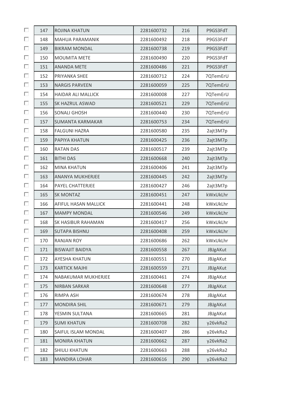| П | 147 | <b>ROJINA KHATUN</b>      | 2281600732 | 216 | P9GS3FdT |
|---|-----|---------------------------|------------|-----|----------|
| П | 148 | <b>MAHUA PARAMANIK</b>    | 2281600492 | 218 | P9GS3FdT |
| П | 149 | <b>BIKRAM MONDAL</b>      | 2281600738 | 219 | P9GS3FdT |
| П | 150 | <b>MOUMITA METE</b>       | 2281600490 | 220 | P9GS3FdT |
| П | 151 | <b>ANANDA METE</b>        | 2281600486 | 221 | P9GS3FdT |
| П | 152 | PRIYANKA SHEE             | 2281600712 | 224 | 7QTemErU |
| П | 153 | <b>NARGIS PARVEEN</b>     | 2281600059 | 225 | 7QTemErU |
| П | 154 | <b>HAIDAR ALI MALLICK</b> | 2281600008 | 227 | 7QTemErU |
| П | 155 | SK HAZRUL ASWAD           | 2281600521 | 229 | 7QTemErU |
| П | 156 | <b>SONALI GHOSH</b>       | 2281600440 | 230 | 7QTemErU |
| П | 157 | <b>SUMANTA KARMAKAR</b>   | 2281600753 | 234 | 7QTemErU |
| П | 158 | <b>FALGUNI HAZRA</b>      | 2281600580 | 235 | 2ajt3M7p |
| П | 159 | PAPIYA KHATUN             | 2281600425 | 236 | 2ajt3M7p |
| П | 160 | <b>RATAN DAS</b>          | 2281600517 | 239 | 2ajt3M7p |
| П | 161 | <b>BITHI DAS</b>          | 2281600668 | 240 | 2ajt3M7p |
| П | 162 | <b>MINA KHATUN</b>        | 2281600406 | 241 | 2ajt3M7p |
| П | 163 | ANANYA MUKHERJEE          | 2281600445 | 242 | 2ajt3M7p |
| П | 164 | PAYEL CHATTERJEE          | 2281600427 | 246 | 2ajt3M7p |
| П | 165 | <b>SK MONTAZ</b>          | 2281600451 | 247 | kWxUkLhr |
| П | 166 | AFIFUL HASAN MALLICK      | 2281600441 | 248 | kWxUkLhr |
| П | 167 | <b>MAMPY MONDAL</b>       | 2281600546 | 249 | kWxUkLhr |
| п | 168 | SK HASIBUR RAHAMAN        | 2281600417 | 256 | kWxUkLhr |
| П | 169 | <b>SUTAPA BISHNU</b>      | 2281600408 | 259 | kWxUkLhr |
| П | 170 | <b>RANJAN ROY</b>         | 2281600686 | 262 | kWxUkLhr |
| П | 171 | <b>BISWAJIT BAIDYA</b>    | 2281600558 | 267 | JBJgAKut |
| П | 172 | <b>AYESHA KHATUN</b>      | 2281600551 | 270 | JBJgAKut |
| П | 173 | <b>KARTICK MAJHI</b>      | 2281600559 | 271 | JBJgAKut |
| П | 174 | NABAKUMAR MUKHERJEE       | 2281600461 | 274 | JBJgAKut |
| П | 175 | <b>NIRBAN SARKAR</b>      | 2281600648 | 277 | JBJgAKut |
| П | 176 | RIMPA ASH                 | 2281600674 | 278 | JBJgAKut |
| П | 177 | <b>MONDIRA SHIL</b>       | 2281600671 | 279 | JBJgAKut |
| П | 178 | YESMIN SULTANA            | 2281600665 | 281 | JBJgAKut |
| П | 179 | <b>SUMI KHATUN</b>        | 2281600708 | 282 | y26vkRa2 |
| П | 180 | SAIFUL ISLAM MONDAL       | 2281600407 | 286 | y26vkRa2 |
| П | 181 | <b>MONIRA KHATUN</b>      | 2281600662 | 287 | y26vkRa2 |
| П | 182 | <b>SHIULI KHATUN</b>      | 2281600663 | 288 | y26vkRa2 |
| П | 183 | <b>MANDIRA LOHAR</b>      | 2281600616 | 290 | y26vkRa2 |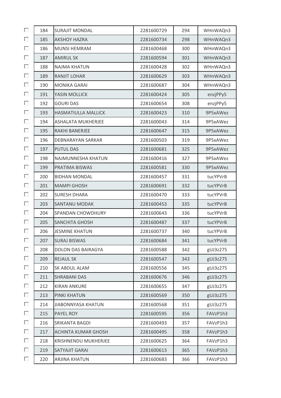| П | 184 | <b>SURAJIT MONDAL</b>       | 2281600729 | 294 | WHnWAQn3 |
|---|-----|-----------------------------|------------|-----|----------|
| П | 185 | <b>AKSHOY HAZRA</b>         | 2281600734 | 298 | WHnWAQn3 |
| П | 186 | <b>MUNSI HEMRAM</b>         | 2281600468 | 300 | WHnWAQn3 |
| П | 187 | <b>AMIRUL SK</b>            | 2281600594 | 301 | WHnWAQn3 |
| П | 188 | <b>NAJMA KHATUN</b>         | 2281600428 | 302 | WHnWAQn3 |
| П | 189 | <b>RANJIT LOHAR</b>         | 2281600629 | 303 | WHnWAQn3 |
| П | 190 | <b>MONIKA GARAI</b>         | 2281600687 | 304 | WHnWAQn3 |
| П | 191 | YASIN MOLLICK               | 2281600424 | 305 | enzjPPy5 |
| П | 192 | <b>GOURI DAS</b>            | 2281600654 | 308 | enzjPPy5 |
| П | 193 | <b>HASMATIULLA MALLICK</b>  | 2281600423 | 310 | 9P5xAWez |
| П | 194 | <b>ASHALATA MUKHERJEE</b>   | 2281600043 | 314 | 9P5xAWez |
| П | 195 | RAKHI BANERJEE              | 2281600647 | 315 | 9P5xAWez |
| П | 196 | DEBNARAYAN SARKAR           | 2281600503 | 319 | 9P5xAWez |
| П | 197 | <b>PUTUL DAS</b>            | 2281600681 | 325 | 9P5xAWez |
| П | 198 | NAJMUNNESHA KHATUN          | 2281600416 | 327 | 9P5xAWez |
| П | 199 | PRATIMA BISWAS              | 2281600581 | 330 | 9P5xAWez |
| П | 200 | <b>BIDHAN MONDAL</b>        | 2281600457 | 331 | tucYPVrB |
| П | 201 | <b>MAMPI GHOSH</b>          | 2281600691 | 332 | tucYPVrB |
| П | 202 | <b>SURESH DHARA</b>         | 2281600470 | 333 | tucYPVrB |
| П | 203 | <b>SANTANU MODAK</b>        | 2281600453 | 335 | tucYPVrB |
| П | 204 | SPANDAN CHOWDHURY           | 2281600643 | 336 | tucYPVrB |
| П | 205 | <b>SANCHITA GHOSH</b>       | 2281600487 | 337 | tucYPVrB |
| П | 206 | <b>JESMINE KHATUN</b>       | 2281600737 | 340 | tucYPVrB |
| п | 207 | <b>SURAJ BISWAS</b>         | 2281600684 | 341 | tucYPVrB |
| П | 208 | <b>DOLON DAS BAIRAGYA</b>   | 2281600588 | 342 | gUJ3z275 |
| П | 209 | <b>REJAUL SK</b>            | 2281600547 | 343 | gUJ3z275 |
| П | 210 | SK ABDUL ALAM               | 2281600556 | 345 | gUJ3z275 |
| П | 211 | <b>SHRABANI DAS</b>         | 2281600676 | 346 | gUJ3z275 |
| П | 212 | <b>KIRAN ANKURE</b>         | 2281600655 | 347 | gUJ3z275 |
| П | 213 | PINKI KHATUN                | 2281600569 | 350 | gUJ3z275 |
| П | 214 | <b>JIABONNYASA KHATUN</b>   | 2281600568 | 351 | gUJ3z275 |
| П | 215 | PAYEL ROY                   | 2281600595 | 356 | FAVzP1h3 |
| П | 216 | SRIKANTA BAGDI              | 2281600493 | 357 | FAVzP1h3 |
| П | 217 | <b>ACHINTA KUMAR GHOSH</b>  | 2281600495 | 358 | FAVzP1h3 |
| П | 218 | <b>KRISHNENDU MUKHERJEE</b> | 2281600625 | 364 | FAVzP1h3 |
| П | 219 | SATYAJIT GARAI              | 2281600613 | 365 | FAVzP1h3 |
| П | 220 | <b>ARJINA KHATUN</b>        | 2281600683 | 366 | FAVzP1h3 |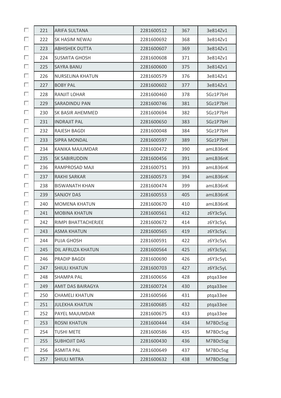| П | 221 | <b>ARIFA SULTANA</b>     | 2281600512 | 367 | 3e814Zv1 |
|---|-----|--------------------------|------------|-----|----------|
| П | 222 | SK HASIM NEWAJ           | 2281600692 | 368 | 3e814Zv1 |
| П | 223 | <b>ABHISHEK DUTTA</b>    | 2281600607 | 369 | 3e814Zv1 |
| П | 224 | <b>SUSMITA GHOSH</b>     | 2281600608 | 371 | 3e814Zv1 |
| П | 225 | <b>SAYRA BANU</b>        | 2281600600 | 375 | 3e814Zv1 |
| П | 226 | <b>NURSELINA KHATUN</b>  | 2281600579 | 376 | 3e814Zv1 |
| П | 227 | <b>BOBY PAL</b>          | 2281600602 | 377 | 3e814Zv1 |
| П | 228 | RANJIT LOHAR             | 2281600460 | 378 | SGz1P7bH |
| П | 229 | SARADINDU PAN            | 2281600746 | 381 | SGz1P7bH |
| П | 230 | SK BASIR AHEMMED         | 2281600694 | 382 | SGz1P7bH |
| П | 231 | <b>INDRAJIT PAL</b>      | 2281600650 | 383 | SGz1P7bH |
| П | 232 | <b>RAJESH BAGDI</b>      | 2281600048 | 384 | SGz1P7bH |
| П | 233 | <b>SIPRA MONDAL</b>      | 2281600597 | 389 | SGz1P7bH |
| П | 234 | KANIKA MAJUMDAR          | 2281600472 | 390 | amLB36nK |
| П | 235 | <b>SK SABIRUDDIN</b>     | 2281600456 | 391 | amLB36nK |
| П | 236 | RAMPROSAD MAJI           | 2281600751 | 393 | amLB36nK |
| П | 237 | <b>RAKHI SARKAR</b>      | 2281600573 | 394 | amLB36nK |
| П | 238 | <b>BISWANATH KHAN</b>    | 2281600474 | 399 | amLB36nK |
| П | 239 | <b>SANJOY DAS</b>        | 2281600553 | 405 | amLB36nK |
| П | 240 | <b>MOMENA KHATUN</b>     | 2281600670 | 410 | amLB36nK |
| П | 241 | <b>MOBINA KHATUN</b>     | 2281600561 | 412 | z6Y3c5yL |
| П | 242 | RIMPI BHATTACHERJEE      | 2281600672 | 414 | z6Y3c5yL |
| П | 243 | <b>ASMA KHATUN</b>       | 2281600565 | 419 | z6Y3c5yL |
| П | 244 | <b>PUJA GHOSH</b>        | 2281600591 | 422 | z6Y3c5yL |
| П | 245 | DIL AFRUZA KHATUN        | 2281600564 | 425 | z6Y3c5yL |
| П | 246 | PRADIP BAGDI             | 2281600690 | 426 | z6Y3c5yL |
| П | 247 | <b>SHIULI KHATUN</b>     | 2281600703 | 427 | z6Y3c5yL |
| П | 248 | <b>SHAMPA PAL</b>        | 2281600656 | 428 | ptga33ee |
| П | 249 | <b>AMIT DAS BAIRAGYA</b> | 2281600724 | 430 | ptga33ee |
| П | 250 | <b>CHAMELI KHATUN</b>    | 2281600566 | 431 | ptga33ee |
| П | 251 | <b>JULEKHA KHATUN</b>    | 2281600685 | 432 | ptga33ee |
| П | 252 | PAYEL MAJUMDAR           | 2281600675 | 433 | ptga33ee |
| П | 253 | <b>ROSNI KHATUN</b>      | 2281600444 | 434 | M7BDc5sg |
| П | 254 | <b>TUSHI METE</b>        | 2281600586 | 435 | M7BDc5sg |
| П | 255 | <b>SUBHOJIT DAS</b>      | 2281600430 | 436 | M7BDc5sg |
| П | 256 | <b>ASMITA PAL</b>        | 2281600649 | 437 | M7BDc5sg |
| П | 257 | <b>SHIULI MITRA</b>      | 2281600632 | 438 | M7BDc5sg |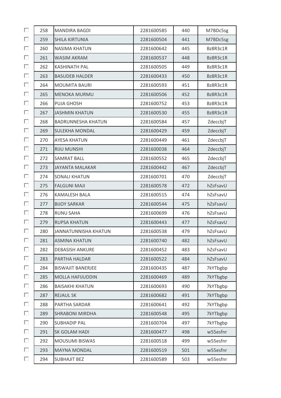| П | 258 | <b>MANDIRA BAGDI</b>      | 2281600585 | 440 | M7BDc5sg |
|---|-----|---------------------------|------------|-----|----------|
| П | 259 | <b>SHILA KIRTUNIA</b>     | 2281600504 | 441 | M7BDc5sg |
| П | 260 | <b>NASIMA KHATUN</b>      | 2281600642 | 445 | Bz8R3c1R |
| П | 261 | <b>WASIM AKRAM</b>        | 2281600537 | 448 | Bz8R3c1R |
| П | 262 | <b>KASHINATH PAL</b>      | 2281600505 | 449 | Bz8R3c1R |
| П | 263 | <b>BASUDEB HALDER</b>     | 2281600433 | 450 | Bz8R3c1R |
| П | 264 | <b>MOUMITA BAURI</b>      | 2281600593 | 451 | Bz8R3c1R |
| П | 265 | <b>MENOKA MURMU</b>       | 2281600506 | 452 | Bz8R3c1R |
| П | 266 | <b>PUJA GHOSH</b>         | 2281600752 | 453 | Bz8R3c1R |
| П | 267 | <b>JASHMIN KHATUN</b>     | 2281600530 | 455 | Bz8R3c1R |
| П | 268 | <b>BADRUNNESHA KHATUN</b> | 2281600584 | 457 | ZdeccbjT |
| П | 269 | <b>SULEKHA MONDAL</b>     | 2281600429 | 459 | ZdeccbjT |
| П | 270 | <b>AYESA KHATUN</b>       | 2281600449 | 461 | ZdeccbjT |
| П | 271 | <b>RIJU MUNSHI</b>        | 2281600038 | 464 | ZdeccbjT |
| П | 272 | <b>SAMRAT BALL</b>        | 2281600552 | 465 | ZdeccbjT |
| П | 273 | <b>JAYANTA MALAKAR</b>    | 2281600442 | 467 | ZdeccbjT |
| П | 274 | <b>SONALI KHATUN</b>      | 2281600701 | 470 | ZdeccbjT |
| П | 275 | <b>FALGUNI MAJI</b>       | 2281600578 | 472 | hZsFsavU |
| П | 276 | <b>KAMALESH BALA</b>      | 2281600515 | 474 | hZsFsavU |
| П | 277 | <b>BIJOY SARKAR</b>       | 2281600544 | 475 | hZsFsavU |
| П | 278 | <b>RUNU SAHA</b>          | 2281600699 | 476 | hZsFsavU |
| П | 279 | <b>RUPSA KHATUN</b>       | 2281600443 | 477 | hZsFsavU |
| П | 280 | JANNATUNNISHA KHATUN      | 2281600538 | 479 | hZsFsavU |
| п | 281 | <b>ASMINA KHATUN</b>      | 2281600740 | 482 | hZsFsavU |
| П | 282 | <b>DEBASISH ANKURE</b>    | 2281600452 | 483 | hZsFsavU |
| П | 283 | PARTHA HALDAR             | 2281600522 | 484 | hZsFsavU |
| П | 284 | <b>BISWAJIT BANERJEE</b>  | 2281600435 | 487 | 7kYTbgbp |
| П | 285 | <b>MOLLA HAFIJUDDIN</b>   | 2281600469 | 489 | 7kYTbgbp |
| П | 286 | <b>BAISAKHI KHATUN</b>    | 2281600693 | 490 | 7kYTbgbp |
| П | 287 | <b>REJAUL SK</b>          | 2281600682 | 491 | 7kYTbgbp |
| П | 288 | PARTHA SARDAR             | 2281600641 | 492 | 7kYTbgbp |
| П | 289 | <b>SHRABONI MIRDHA</b>    | 2281600548 | 495 | 7kYTbgbp |
| п | 290 | <b>SUBHADIP PAL</b>       | 2281600704 | 497 | 7kYTbgbp |
| П | 291 | SK GOLAM HADI             | 2281600477 | 498 | w55esfnr |
| П | 292 | <b>MOUSUMI BISWAS</b>     | 2281600518 | 499 | w55esfnr |
| П | 293 | <b>MAYNA MONDAL</b>       | 2281600519 | 501 | w55esfnr |
| П | 294 | <b>SUBHAJIT BEZ</b>       | 2281600589 | 503 | w55esfnr |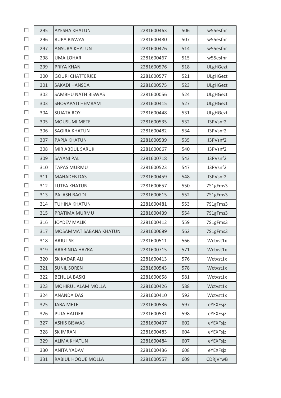| П | 295 | <b>AYESHA KHATUN</b>    | 2281600463 | 506 | w55esfnr        |
|---|-----|-------------------------|------------|-----|-----------------|
| П | 296 | <b>RUPA BISWAS</b>      | 2281600480 | 507 | w55esfnr        |
| П | 297 | <b>ANSURA KHATUN</b>    | 2281600476 | 514 | w55esfnr        |
| П | 298 | <b>UMA LOHAR</b>        | 2281600467 | 515 | w55esfnr        |
| П | 299 | PRIYA KHAN              | 2281600576 | 518 | <b>ULgHGezt</b> |
| П | 300 | <b>GOURI CHATTERJEE</b> | 2281600577 | 521 | ULgHGezt        |
| П | 301 | <b>SAKADI HANSDA</b>    | 2281600575 | 523 | <b>ULgHGezt</b> |
| П | 302 | SAMBHU NATH BISWAS      | 2281600056 | 524 | ULgHGezt        |
| П | 303 | SHOVAPATI HEMRAM        | 2281600415 | 527 | <b>ULgHGezt</b> |
| П | 304 | <b>SUJATA ROY</b>       | 2281600448 | 531 | ULgHGezt        |
| п | 305 | <b>MOUSUMI METE</b>     | 2281600535 | 532 | J3PVsnf2        |
| П | 306 | <b>SAGIRA KHATUN</b>    | 2281600482 | 534 | J3PVsnf2        |
| П | 307 | PAPIA KHATUN            | 2281600539 | 535 | J3PVsnf2        |
| П | 308 | MIR ABDUL SARUK         | 2281600667 | 540 | J3PVsnf2        |
| П | 309 | <b>SAYANI PAL</b>       | 2281600718 | 543 | J3PVsnf2        |
| п | 310 | <b>TAPAS MURMU</b>      | 2281600523 | 547 | J3PVsnf2        |
| П | 311 | <b>MAHADEB DAS</b>      | 2281600459 | 548 | J3PVsnf2        |
| П | 312 | <b>LUTFA KHATUN</b>     | 2281600657 | 550 | 7S1gFms3        |
| П | 313 | <b>PALASH BAGDI</b>     | 2281600615 | 552 | 7S1gFms3        |
| П | 314 | <b>TUHINA KHATUN</b>    | 2281600481 | 553 | 7S1gFms3        |
| П | 315 | PRATIMA MURMU           | 2281600439 | 554 | 7S1gFms3        |
| П | 316 | <b>JOYDEV MALIK</b>     | 2281600412 | 559 | 7S1gFms3        |
| П | 317 | MOSAMMAT SABANA KHATUN  | 2281600689 | 562 | 7S1gFms3        |
| П | 318 | <b>ARJUL SK</b>         | 2281600511 | 566 | Wctvst1x        |
| П | 319 | ARABINDA HAZRA          | 2281600715 | 571 | Wctvst1x        |
| П | 320 | SK KADAR ALI            | 2281600413 | 576 | Wctvst1x        |
| П | 321 | <b>SUNIL SOREN</b>      | 2281600543 | 578 | Wctvst1x        |
| П | 322 | <b>BEHULA BASKI</b>     | 2281600658 | 581 | Wctvst1x        |
| П | 323 | MOHIRUL ALAM MOLLA      | 2281600426 | 588 | Wctvst1x        |
| п | 324 | <b>ANANDA DAS</b>       | 2281600410 | 592 | Wctvst1x        |
| П | 325 | <b>JABA METE</b>        | 2281600536 | 597 | eYEXFsjz        |
| п | 326 | <b>PUJA HALDER</b>      | 2281600531 | 598 | eYEXFsjz        |
| П | 327 | <b>ASHIS BISWAS</b>     | 2281600437 | 602 | eYEXFsjz        |
| П | 328 | <b>SK IMRAN</b>         | 2281600483 | 604 | eYEXFsjz        |
| П | 329 | <b>ALIMA KHATUN</b>     | 2281600484 | 607 | eYEXFsjz        |
| П | 330 | <b>ANITA YADAV</b>      | 2281600436 | 608 | eYEXFsjz        |
| П | 331 | RABIUL HOQUE MOLLA      | 2281600557 | 609 | CDRjVrwB        |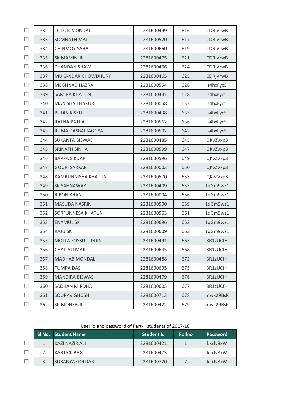| П  | 332 | <b>TOTON MONDAL</b>      | 2281600499 | 616 | CDRjVrwB |
|----|-----|--------------------------|------------|-----|----------|
| П  | 333 | <b>SOMNATH MAJI</b>      | 2281600520 | 617 | CDRjVrwB |
| П  | 334 | <b>CHINMOY SAHA</b>      | 2281600660 | 619 | CDRjVrwB |
| П  | 335 | <b>SK MAMINUL</b>        | 2281600475 | 621 | CDRjVrwB |
| П  | 336 | <b>CHANDAN SHAW</b>      | 2281600466 | 624 | CDRjVrwB |
| П  | 337 | MUKANDAR CHOWDHURY       | 2281600465 | 625 | CDRjVrwB |
| П  | 338 | <b>MEGHNAD HAZRA</b>     | 2281600554 | 626 | s4hxFyc5 |
| П  | 339 | <b>SAMIRA KHATUN</b>     | 2281600431 | 628 | s4hxFyc5 |
| П  | 340 | <b>MANISHA THAKUR</b>    | 2281600058 | 633 | s4hxFyc5 |
| П  | 341 | <b>BUDIN KISKU</b>       | 2281600438 | 635 | s4hxFyc5 |
| П  | 342 | RATNA PATRA              | 2281600562 | 636 | s4hxFyc5 |
| П  | 343 | RUMA DASBAIRAGGYA        | 2281600502 | 642 | s4hxFyc5 |
| П  | 344 | <b>SUKANTA BISWAS</b>    | 2281600485 | 645 | QKvZVxp3 |
| П  | 345 | <b>SRINATH SINHA</b>     | 2281600599 | 647 | QKvZVxp3 |
| П  | 346 | <b>BAPPA SIKDAR</b>      | 2281600596 | 649 | QKvZVxp3 |
| П  | 347 | <b>GOURI SARKAR</b>      | 2281600003 | 650 | QKvZVxp3 |
| П  | 348 | KAMRUNNISHA KHATUN       | 2281600570 | 653 | QKvZVxp3 |
| П  | 349 | <b>SK SAHNAWAZ</b>       | 2281600409 | 655 | 1qGm9wz1 |
| П  | 350 | <b>RIPON KHAN</b>        | 2281600004 | 656 | 1qGm9wz1 |
| П  | 351 | <b>MASUDA NASRIN</b>     | 2281600500 | 659 | 1qGm9wz1 |
| П  | 352 | <b>SORFUNNESA KHATUN</b> | 2281600563 | 661 | 1qGm9wz1 |
| П  | 353 | <b>ENAMULSK</b>          | 2281600696 | 662 | 1qGm9wz1 |
| П  | 354 | <b>RAJU SK</b>           | 2281600609 | 663 | 1qGm9wz1 |
| П  | 355 | MOLLA FOYSULUDDIN        | 2281600491 | 665 | 3R1zUCfH |
| П  | 356 | <b>CHAITALI MAJI</b>     | 2281600645 | 668 | 3R1zUCfH |
| П  | 357 | <b>MADHAB MONDAL</b>     | 2281600488 | 672 | 3R1zUCfH |
| П. | 358 | <b>TUMPA DAS</b>         | 2281600695 | 675 | 3R1zUCfH |
| П  | 359 | <b>MANDIRA BISWAS</b>    | 2281600479 | 676 | 3R1zUCfH |
| П  | 360 | SADHAN MIRDHA            | 2281600605 | 677 | 3R1zUCfH |
| П. | 361 | <b>SOURAV GHOSH</b>      | 2281600713 | 678 | mwk29BsK |
| П  | 362 | <b>SK MONERUL</b>        | 2281600422 | 679 | mwk29BsK |

User id and password of Part-II students of 2017-18

|  | SI No. Student Name   | <b>Student Id</b> | <b>Rollno</b> | <b>Password</b> |
|--|-----------------------|-------------------|---------------|-----------------|
|  | <b>KAZI NAZIR ALI</b> | 2281600421        |               | kkrfv8xW        |
|  | <b>KARTICK BAG</b>    | 2281600473        |               | kkrfv8xW        |
|  | <b>SUKANYA GOLDAR</b> | 2281600720        |               | kkrfv8xW        |
|  |                       |                   |               |                 |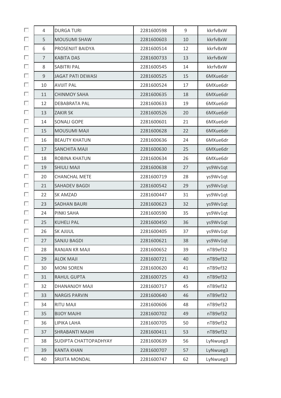| П | $\overline{4}$ | <b>DURGA TURI</b>        | 2281600598 | $\mathsf 9$ | kkrfv8xW |
|---|----------------|--------------------------|------------|-------------|----------|
| П | 5              | <b>MOUSUMI SHAW</b>      | 2281600603 | 10          | kkrfv8xW |
| п | 6              | PROSENJIT BAIDYA         | 2281600514 | 12          | kkrfv8xW |
| □ | $\overline{7}$ | <b>KABITA DAS</b>        | 2281600733 | 13          | kkrfv8xW |
| П | 8              | <b>SABITRI PAL</b>       | 2281600545 | 14          | kkrfv8xW |
| п | 9              | <b>JAGAT PATI DEWASI</b> | 2281600525 | 15          | 6MXue6dr |
| п | 10             | <b>AVIJIT PAL</b>        | 2281600524 | 17          | 6MXue6dr |
| П | 11             | <b>CHINMOY SAHA</b>      | 2281600635 | 18          | 6MXue6dr |
| п | 12             | <b>DEBABRATA PAL</b>     | 2281600633 | 19          | 6MXue6dr |
| П | 13             | <b>ZAKIR SK</b>          | 2281600526 | 20          | 6MXue6dr |
| п | 14             | <b>SONALI GOPE</b>       | 2281600601 | 21          | 6MXue6dr |
| п | 15             | MOUSUMI MAJI             | 2281600628 | 22          | 6MXue6dr |
| П | 16             | <b>BEAUTY KHATUN</b>     | 2281600636 | 24          | 6MXue6dr |
| п | 17             | <b>SANCHITA MAJI</b>     | 2281600630 | 25          | 6MXue6dr |
| п | 18             | ROBINA KHATUN            | 2281600634 | 26          | 6MXue6dr |
| п | 19             | <b>SHIULI MAJI</b>       | 2281600638 | 27          | ys9Wv1qt |
| п | 20             | <b>CHANCHAL METE</b>     | 2281600719 | 28          | ys9Wv1qt |
| П | 21             | <b>SAHADEV BAGDI</b>     | 2281600542 | 29          | ys9Wv1qt |
| П | 22             | SK AMZAD                 | 2281600447 | 31          | ys9Wv1qt |
| п | 23             | <b>SADHAN BAURI</b>      | 2281600623 | 32          | ys9Wv1qt |
| п | 24             | PINKI SAHA               | 2281600590 | 35          | ys9Wv1qt |
| п | 25             | <b>KUHELI PAL</b>        | 2281600450 | 36          | ys9Wv1qt |
| П | 26             | <b>SK AJIJUL</b>         | 2281600405 | 37          | ys9Wv1qt |
| п | 27             | <b>SANJU BAGDI</b>       | 2281600621 | 38          | ys9Wv1qt |
| П | 28             | <b>RANJAN KR MAJI</b>    | 2281600652 | 39          | nTB9ef32 |
| П | 29             | <b>ALOK MAJI</b>         | 2281600721 | 40          | nTB9ef32 |
| П | 30             | <b>MONI SOREN</b>        | 2281600620 | 41          | nTB9ef32 |
| П | 31             | <b>RAHUL GUPTA</b>       | 2281600725 | 43          | nTB9ef32 |
| П | 32             | <b>DHANANJOY MAJI</b>    | 2281600717 | 45          | nTB9ef32 |
| П | 33             | <b>NARGIS PARVIN</b>     | 2281600640 | 46          | nTB9ef32 |
| П | 34             | <b>RITU MAJI</b>         | 2281600606 | 48          | nTB9ef32 |
| П | 35             | <b>BIJOY MAJHI</b>       | 2281600702 | 49          | nTB9ef32 |
| п | 36             | LIPIKA LAHA              | 2281600705 | 50          | nTB9ef32 |
| П | 37             | <b>SHRABANTI MAJHI</b>   | 2281600411 | 53          | nTB9ef32 |
| П | 38             | SUDIPTA CHATTOPADHYAY    | 2281600639 | 56          | LyNwueg3 |
| П | 39             | <b>KANTA KHAN</b>        | 2281600707 | 57          | LyNwueg3 |
| П | 40             | SRIJITA MONDAL           | 2281600747 | 62          | LyNwueg3 |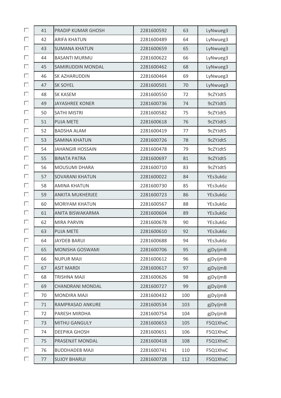| П | 41 | PRADIP KUMAR GHOSH      | 2281600592 | 63  | LyNwueg3 |
|---|----|-------------------------|------------|-----|----------|
| П | 42 | <b>ARIFA KHATUN</b>     | 2281600489 | 64  | LyNwueg3 |
| п | 43 | <b>SUMANA KHATUN</b>    | 2281600659 | 65  | LyNwueg3 |
| п | 44 | <b>BASANTI MURMU</b>    | 2281600622 | 66  | LyNwueg3 |
| П | 45 | SAMIRUDDIN MONDAL       | 2281600462 | 68  | LyNwueg3 |
| п | 46 | SK AZHARUDDIN           | 2281600464 | 69  | LyNwueg3 |
| п | 47 | <b>SK SOYEL</b>         | 2281600501 | 70  | LyNwueg3 |
| П | 48 | <b>SK KASEM</b>         | 2281600550 | 72  | 9cZYJdt5 |
| п | 49 | <b>JAYASHREE KONER</b>  | 2281600736 | 74  | 9cZYJdt5 |
| П | 50 | <b>SATHI MISTRI</b>     | 2281600582 | 75  | 9cZYJdt5 |
| п | 51 | <b>PUJA METE</b>        | 2281600618 | 76  | 9cZYJdt5 |
| п | 52 | <b>BADSHA ALAM</b>      | 2281600419 | 77  | 9cZYJdt5 |
| П | 53 | <b>SAMINA KHATUN</b>    | 2281600726 | 78  | 9cZYJdt5 |
| П | 54 | <b>JAHANGIR HOSSAIN</b> | 2281600478 | 79  | 9cZYJdt5 |
| п | 55 | <b>BINATA PATRA</b>     | 2281600697 | 81  | 9cZYJdt5 |
| п | 56 | <b>MOUSUMI DHARA</b>    | 2281600710 | 83  | 9cZYJdt5 |
| п | 57 | <b>SOVARANI KHATUN</b>  | 2281600022 | 84  | YEs3uk6z |
| П | 58 | <b>AMINA KHATUN</b>     | 2281600730 | 85  | YEs3uk6z |
| П | 59 | <b>ANKITA MUKHERJEE</b> | 2281600723 | 86  | YEs3uk6z |
| п | 60 | <b>MORIYAM KHATUN</b>   | 2281600567 | 88  | YEs3uk6z |
| п | 61 | ANITA BISWAKARMA        | 2281600604 | 89  | YEs3uk6z |
| п | 62 | <b>MIRA PARVIN</b>      | 2281600678 | 90  | YEs3uk6z |
| П | 63 | <b>PUJA METE</b>        | 2281600610 | 92  | YEs3uk6z |
| п | 64 | <b>JAYDEB BARUI</b>     | 2281600688 | 94  | YEs3uk6z |
| П | 65 | <b>MONISHA GOSWAMI</b>  | 2281600706 | 95  | gjDyJjmB |
| П | 66 | <b>NUPUR MAJI</b>       | 2281600612 | 96  | gjDyJjmB |
| П | 67 | <b>ASIT MARDI</b>       | 2281600617 | 97  | gjDyJjmB |
| П | 68 | <b>TRISHNA MAJI</b>     | 2281600626 | 98  | gjDyJjmB |
| П | 69 | CHANDRANI MONDAL        | 2281600727 | 99  | gjDyJjmB |
| П | 70 | <b>MONDIRA MAJI</b>     | 2281600432 | 100 | gjDyJjmB |
| П | 71 | RAMPRASAD ANKURE        | 2281600534 | 103 | gjDyJjmB |
| П | 72 | PARESH MIRDHA           | 2281600754 | 104 | gjDyJjmB |
| п | 73 | <b>MITHU GANGULY</b>    | 2281600653 | 105 | F5Q1XhxC |
| П | 74 | DEEPIKA GHOSH           | 2281600651 | 106 | F5Q1XhxC |
| П | 75 | PRASENJIT MONDAL        | 2281600418 | 108 | F5Q1XhxC |
| п | 76 | <b>BUDDHADEB MAJI</b>   | 2281600741 | 110 | F5Q1XhxC |
| П | 77 | <b>SUJOY BHARUI</b>     | 2281600728 | 112 | F5Q1XhxC |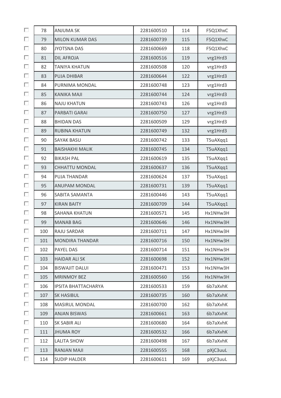| П  | 78  | <b>ANJUMA SK</b>           | 2281600510 | 114 | F5Q1XhxC |
|----|-----|----------------------------|------------|-----|----------|
| П  | 79  | <b>MILON KUMAR DAS</b>     | 2281600739 | 115 | F5Q1XhxC |
| П  | 80  | <b>JYOTSNA DAS</b>         | 2281600669 | 118 | F5Q1XhxC |
| п  | 81  | <b>DIL AFROJA</b>          | 2281600516 | 119 | vrg1Hrd3 |
| П  | 82  | <b>TANIYA KHATUN</b>       | 2281600508 | 120 | vrg1Hrd3 |
| П  | 83  | <b>PUJA DHIBAR</b>         | 2281600644 | 122 | vrg1Hrd3 |
| П  | 84  | PURNIMA MONDAL             | 2281600748 | 123 | vrg1Hrd3 |
| П  | 85  | <b>KANIKA MAJI</b>         | 2281600744 | 124 | vrg1Hrd3 |
| п  | 86  | <b>NAJU KHATUN</b>         | 2281600743 | 126 | vrg1Hrd3 |
| П  | 87  | PARBATI GARAI              | 2281600750 | 127 | vrg1Hrd3 |
| п  | 88  | <b>BHIDAN DAS</b>          | 2281600509 | 129 | vrg1Hrd3 |
| П  | 89  | <b>RUBINA KHATUN</b>       | 2281600749 | 132 | vrg1Hrd3 |
| П  | 90  | <b>SAYAK BASU</b>          | 2281600742 | 133 | T5uAXqq1 |
| п  | 91  | <b>BAISHAKHI MALIK</b>     | 2281600745 | 134 | T5uAXqq1 |
| П  | 92  | <b>BIKASH PAL</b>          | 2281600619 | 135 | T5uAXqq1 |
| П  | 93  | <b>CHHATTU MONDAL</b>      | 2281600637 | 136 | T5uAXqq1 |
| П  | 94  | PUJA THANDAR               | 2281600624 | 137 | T5uAXqq1 |
| П  | 95  | <b>ANUPAM MONDAL</b>       | 2281600731 | 139 | T5uAXqq1 |
| П  | 96  | SABITA SAMANTA             | 2281600446 | 143 | T5uAXqq1 |
| П  | 97  | <b>KIRAN BAITY</b>         | 2281600709 | 144 | T5uAXqq1 |
| П  | 98  | <b>SAHANA KHATUN</b>       | 2281600571 | 145 | Hx1NHw3H |
| п  | 99  | <b>MANAB BAG</b>           | 2281600646 | 146 | Hx1NHw3H |
| П  | 100 | <b>RAJU SARDAR</b>         | 2281600711 | 147 | Hx1NHw3H |
| П  | 101 | <b>MONDIRA THANDAR</b>     | 2281600716 | 150 | Hx1NHw3H |
| П  | 102 | PAYEL DAS                  | 2281600714 | 151 | Hx1NHw3H |
| П  | 103 | <b>HAIDAR ALI SK</b>       | 2281600698 | 152 | Hx1NHw3H |
| п  | 104 | <b>BISWAJIT DALUI</b>      | 2281600471 | 153 | Hx1NHw3H |
| П  | 105 | <b>MRINMOY BEZ</b>         | 2281600560 | 156 | Hx1NHw3H |
| П  | 106 | <b>IPSITA BHATTACHARYA</b> | 2281600533 | 159 | 6b7aXvhK |
| п  | 107 | <b>SK HASIBUL</b>          | 2281600735 | 160 | 6b7aXvhK |
| П  | 108 | <b>MASIRUL MONDAL</b>      | 2281600700 | 162 | 6b7aXvhK |
| П  | 109 | <b>ANJAN BISWAS</b>        | 2281600661 | 163 | 6b7aXvhK |
| П  | 110 | SK SABIR ALI               | 2281600680 | 164 | 6b7aXvhK |
| П  | 111 | <b>JHUMA ROY</b>           | 2281600532 | 166 | 6b7aXvhK |
| п  | 112 | LALITA SHOW                | 2281600498 | 167 | 6b7aXvhK |
| П  | 113 | RANJAN MAJI                | 2281600555 | 168 | pXjC3uuL |
| П. | 114 | <b>SUDIP HALDER</b>        | 2281600611 | 169 | pXjC3uuL |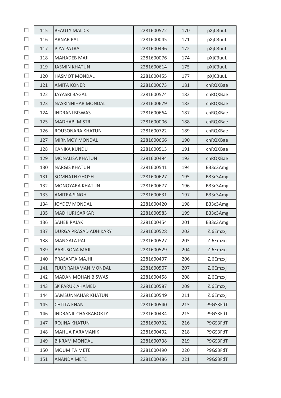| П | 115 | <b>BEAUTY MALICK</b>        | 2281600572 | 170 | pXjC3uuL |
|---|-----|-----------------------------|------------|-----|----------|
| П | 116 | <b>ARNAB PAL</b>            | 2281600045 | 171 | pXjC3uuL |
| П | 117 | PIYA PATRA                  | 2281600496 | 172 | pXjC3uuL |
| П | 118 | <b>MAHADEB MAJI</b>         | 2281600076 | 174 | pXjC3uuL |
| П | 119 | <b>JASMIN KHATUN</b>        | 2281600614 | 175 | pXjC3uuL |
| П | 120 | <b>HASMOT MONDAL</b>        | 2281600455 | 177 | pXjC3uuL |
| П | 121 | <b>AMITA KONER</b>          | 2281600673 | 181 | chRQXBae |
| П | 122 | JAYASRI BAGAL               | 2281600574 | 182 | chRQXBae |
| П | 123 | <b>NASRINNIHAR MONDAL</b>   | 2281600679 | 183 | chRQXBae |
| П | 124 | <b>INDRANI BISWAS</b>       | 2281600664 | 187 | chRQXBae |
| П | 125 | <b>MADHABI MISTRI</b>       | 2281600006 | 188 | chRQXBae |
| П | 126 | ROUSONARA KHATUN            | 2281600722 | 189 | chRQXBae |
| П | 127 | <b>MIRNMOY MONDAL</b>       | 2281600666 | 190 | chRQXBae |
| П | 128 | <b>KANIKA KUNDU</b>         | 2281600513 | 191 | chRQXBae |
| П | 129 | <b>MONALISA KHATUN</b>      | 2281600494 | 193 | chRQXBae |
| П | 130 | <b>NARGIS KHATUN</b>        | 2281600541 | 194 | B33c3Amg |
| П | 131 | <b>SOMNATH GHOSH</b>        | 2281600627 | 195 | B33c3Amg |
| П | 132 | MONOYARA KHATUN             | 2281600677 | 196 | B33c3Amg |
| П | 133 | <b>AMITRA SINGH</b>         | 2281600631 | 197 | B33c3Amg |
| П | 134 | JOYDEV MONDAL               | 2281600420 | 198 | B33c3Amg |
| П | 135 | <b>MADHURI SARKAR</b>       | 2281600583 | 199 | B33c3Amg |
| П | 136 | <b>SAHEB RAJAK</b>          | 2281600454 | 201 | B33c3Amg |
| П | 137 | DURGA PRASAD ADHIKARY       | 2281600528 | 202 | ZJ6Emzxj |
| П | 138 | <b>MANGALA PAL</b>          | 2281600527 | 203 | ZJ6Emzxj |
| П | 139 | <b>BABUSONA MAJI</b>        | 2281600529 | 204 | ZJ6Emzxj |
| П | 140 | PRASANTA MAJHI              | 2281600497 | 206 | ZJ6Emzxj |
| П | 141 | <b>FIJUR RAHAMAN MONDAL</b> | 2281600507 | 207 | ZJ6Emzxj |
| П | 142 | <b>MADAN MOHAN BISWAS</b>   | 2281600458 | 208 | ZJ6Emzxj |
| П | 143 | SK FARUK AHAMED             | 2281600587 | 209 | ZJ6Emzxj |
| П | 144 | SAMSUNNAHAR KHATUN          | 2281600549 | 211 | ZJ6Emzxj |
| П | 145 | <b>CHITTA KHAN</b>          | 2281600540 | 213 | P9GS3FdT |
| П | 146 | <b>INDRANIL CHAKRABORTY</b> | 2281600434 | 215 | P9GS3FdT |
| П | 147 | ROJINA KHATUN               | 2281600732 | 216 | P9GS3FdT |
| П | 148 | MAHUA PARAMANIK             | 2281600492 | 218 | P9GS3FdT |
| П | 149 | <b>BIKRAM MONDAL</b>        | 2281600738 | 219 | P9GS3FdT |
| П | 150 | <b>MOUMITA METE</b>         | 2281600490 | 220 | P9GS3FdT |
| П | 151 | <b>ANANDA METE</b>          | 2281600486 | 221 | P9GS3FdT |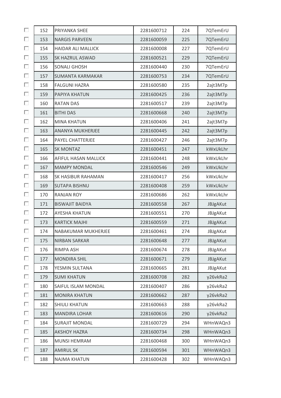| П | 152 | PRIYANKA SHEE             | 2281600712 | 224 | 7QTemErU        |
|---|-----|---------------------------|------------|-----|-----------------|
| П | 153 | <b>NARGIS PARVEEN</b>     | 2281600059 | 225 | 7QTemErU        |
| П | 154 | <b>HAIDAR ALI MALLICK</b> | 2281600008 | 227 | 7QTemErU        |
| П | 155 | SK HAZRUL ASWAD           | 2281600521 | 229 | 7QTemErU        |
| П | 156 | <b>SONALI GHOSH</b>       | 2281600440 | 230 | 7QTemErU        |
| П | 157 | <b>SUMANTA KARMAKAR</b>   | 2281600753 | 234 | 7QTemErU        |
| П | 158 | <b>FALGUNI HAZRA</b>      | 2281600580 | 235 | 2ajt3M7p        |
| П | 159 | PAPIYA KHATUN             | 2281600425 | 236 | 2ajt3M7p        |
| П | 160 | <b>RATAN DAS</b>          | 2281600517 | 239 | 2ajt3M7p        |
| П | 161 | <b>BITHI DAS</b>          | 2281600668 | 240 | 2ajt3M7p        |
| П | 162 | <b>MINA KHATUN</b>        | 2281600406 | 241 | 2ajt3M7p        |
| П | 163 | <b>ANANYA MUKHERJEE</b>   | 2281600445 | 242 | 2ajt3M7p        |
| П | 164 | PAYEL CHATTERJEE          | 2281600427 | 246 | 2ajt3M7p        |
| П | 165 | <b>SK MONTAZ</b>          | 2281600451 | 247 | kWxUkLhr        |
| П | 166 | AFIFUL HASAN MALLICK      | 2281600441 | 248 | kWxUkLhr        |
| П | 167 | <b>MAMPY MONDAL</b>       | 2281600546 | 249 | kWxUkLhr        |
| П | 168 | SK HASIBUR RAHAMAN        | 2281600417 | 256 | kWxUkLhr        |
| П | 169 | <b>SUTAPA BISHNU</b>      | 2281600408 | 259 | kWxUkLhr        |
| П | 170 | <b>RANJAN ROY</b>         | 2281600686 | 262 | kWxUkLhr        |
| П | 171 | <b>BISWAJIT BAIDYA</b>    | 2281600558 | 267 | JBJgAKut        |
| П | 172 | <b>AYESHA KHATUN</b>      | 2281600551 | 270 | JBJgAKut        |
| П | 173 | <b>KARTICK MAJHI</b>      | 2281600559 | 271 | JBJgAKut        |
| П | 174 | NABAKUMAR MUKHERJEE       | 2281600461 | 274 | <b>JBJgAKut</b> |
| П | 175 | <b>NIRBAN SARKAR</b>      | 2281600648 | 277 | JBJgAKut        |
| П | 176 | <b>RIMPA ASH</b>          | 2281600674 | 278 | JBJgAKut        |
| П | 177 | <b>MONDIRA SHIL</b>       | 2281600671 | 279 | JBJgAKut        |
| П | 178 | YESMIN SULTANA            | 2281600665 | 281 | JBJgAKut        |
| П | 179 | <b>SUMI KHATUN</b>        | 2281600708 | 282 | y26vkRa2        |
| П | 180 | SAIFUL ISLAM MONDAL       | 2281600407 | 286 | y26vkRa2        |
| П | 181 | <b>MONIRA KHATUN</b>      | 2281600662 | 287 | y26vkRa2        |
| П | 182 | <b>SHIULI KHATUN</b>      | 2281600663 | 288 | y26vkRa2        |
| П | 183 | <b>MANDIRA LOHAR</b>      | 2281600616 | 290 | y26vkRa2        |
| П | 184 | <b>SURAJIT MONDAL</b>     | 2281600729 | 294 | WHnWAQn3        |
| П | 185 | <b>AKSHOY HAZRA</b>       | 2281600734 | 298 | WHnWAQn3        |
| П | 186 | <b>MUNSI HEMRAM</b>       | 2281600468 | 300 | WHnWAQn3        |
| П | 187 | <b>AMIRUL SK</b>          | 2281600594 | 301 | WHnWAQn3        |
| П | 188 | <b>NAJMA KHATUN</b>       | 2281600428 | 302 | WHnWAQn3        |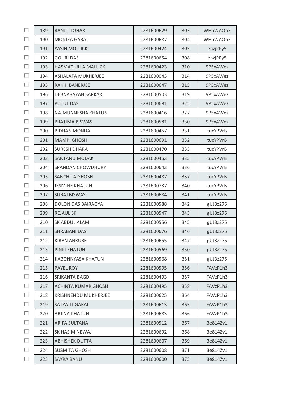| П  | 189 | <b>RANJIT LOHAR</b>         | 2281600629 | 303 | WHnWAQn3 |
|----|-----|-----------------------------|------------|-----|----------|
| П  | 190 | <b>MONIKA GARAI</b>         | 2281600687 | 304 | WHnWAQn3 |
| П  | 191 | YASIN MOLLICK               | 2281600424 | 305 | enzjPPy5 |
| П  | 192 | <b>GOURI DAS</b>            | 2281600654 | 308 | enzjPPy5 |
| П  | 193 | <b>HASMATIULLA MALLICK</b>  | 2281600423 | 310 | 9P5xAWez |
| П  | 194 | <b>ASHALATA MUKHERJEE</b>   | 2281600043 | 314 | 9P5xAWez |
| П  | 195 | RAKHI BANERJEE              | 2281600647 | 315 | 9P5xAWez |
| П  | 196 | <b>DEBNARAYAN SARKAR</b>    | 2281600503 | 319 | 9P5xAWez |
| П  | 197 | <b>PUTUL DAS</b>            | 2281600681 | 325 | 9P5xAWez |
| П  | 198 | NAJMUNNESHA KHATUN          | 2281600416 | 327 | 9P5xAWez |
| П  | 199 | PRATIMA BISWAS              | 2281600581 | 330 | 9P5xAWez |
| П  | 200 | <b>BIDHAN MONDAL</b>        | 2281600457 | 331 | tucYPVrB |
| П  | 201 | <b>MAMPI GHOSH</b>          | 2281600691 | 332 | tucYPVrB |
| П  | 202 | <b>SURESH DHARA</b>         | 2281600470 | 333 | tucYPVrB |
| П  | 203 | <b>SANTANU MODAK</b>        | 2281600453 | 335 | tucYPVrB |
| П  | 204 | SPANDAN CHOWDHURY           | 2281600643 | 336 | tucYPVrB |
| П  | 205 | <b>SANCHITA GHOSH</b>       | 2281600487 | 337 | tucYPVrB |
| П  | 206 | <b>JESMINE KHATUN</b>       | 2281600737 | 340 | tucYPVrB |
| П  | 207 | <b>SURAJ BISWAS</b>         | 2281600684 | 341 | tucYPVrB |
| П  | 208 | DOLON DAS BAIRAGYA          | 2281600588 | 342 | gUJ3z275 |
| П  | 209 | <b>REJAUL SK</b>            | 2281600547 | 343 | gUJ3z275 |
| п  | 210 | SK ABDUL ALAM               | 2281600556 | 345 | gUJ3z275 |
| П  | 211 | <b>SHRABANI DAS</b>         | 2281600676 | 346 | gUJ3z275 |
| П  | 212 | <b>KIRAN ANKURE</b>         | 2281600655 | 347 | gUJ3z275 |
| П  | 213 | PINKI KHATUN                | 2281600569 | 350 | gUJ3z275 |
| П  | 214 | <b>JIABONNYASA KHATUN</b>   | 2281600568 | 351 | gUJ3z275 |
| П  | 215 | PAYEL ROY                   | 2281600595 | 356 | FAVzP1h3 |
| П  | 216 | SRIKANTA BAGDI              | 2281600493 | 357 | FAVzP1h3 |
| П  | 217 | <b>ACHINTA KUMAR GHOSH</b>  | 2281600495 | 358 | FAVzP1h3 |
| п  | 218 | <b>KRISHNENDU MUKHERJEE</b> | 2281600625 | 364 | FAVzP1h3 |
| П  | 219 | SATYAJIT GARAI              | 2281600613 | 365 | FAVzP1h3 |
| П  | 220 | <b>ARJINA KHATUN</b>        | 2281600683 | 366 | FAVzP1h3 |
| П  | 221 | <b>ARIFA SULTANA</b>        | 2281600512 | 367 | 3e814Zv1 |
| П  | 222 | SK HASIM NEWAJ              | 2281600692 | 368 | 3e814Zv1 |
| П  | 223 | <b>ABHISHEK DUTTA</b>       | 2281600607 | 369 | 3e814Zv1 |
| П  | 224 | <b>SUSMITA GHOSH</b>        | 2281600608 | 371 | 3e814Zv1 |
| П. | 225 | <b>SAYRA BANU</b>           | 2281600600 | 375 | 3e814Zv1 |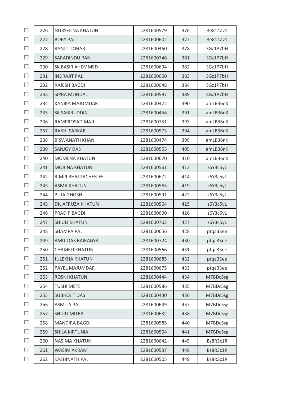| П | 226 | NURSELINA KHATUN      | 2281600579 | 376 | 3e814Zv1 |
|---|-----|-----------------------|------------|-----|----------|
| П | 227 | <b>BOBY PAL</b>       | 2281600602 | 377 | 3e814Zv1 |
| П | 228 | RANJIT LOHAR          | 2281600460 | 378 | SGz1P7bH |
| П | 229 | <b>SARADINDU PAN</b>  | 2281600746 | 381 | SGz1P7bH |
| П | 230 | SK BASIR AHEMMED      | 2281600694 | 382 | SGz1P7bH |
| П | 231 | <b>INDRAJIT PAL</b>   | 2281600650 | 383 | SGz1P7bH |
| П | 232 | RAJESH BAGDI          | 2281600048 | 384 | SGz1P7bH |
| П | 233 | <b>SIPRA MONDAL</b>   | 2281600597 | 389 | SGz1P7bH |
| П | 234 | KANIKA MAJUMDAR       | 2281600472 | 390 | amLB36nK |
| П | 235 | SK SABIRUDDIN         | 2281600456 | 391 | amLB36nK |
| П | 236 | RAMPROSAD MAJI        | 2281600751 | 393 | amLB36nK |
| П | 237 | <b>RAKHI SARKAR</b>   | 2281600573 | 394 | amLB36nK |
| П | 238 | <b>BISWANATH KHAN</b> | 2281600474 | 399 | amLB36nK |
| П | 239 | <b>SANJOY DAS</b>     | 2281600553 | 405 | amLB36nK |
| П | 240 | <b>MOMENA KHATUN</b>  | 2281600670 | 410 | amLB36nK |
| П | 241 | <b>MOBINA KHATUN</b>  | 2281600561 | 412 | z6Y3c5yL |
| П | 242 | RIMPI BHATTACHERJEE   | 2281600672 | 414 | z6Y3c5yL |
| П | 243 | <b>ASMA KHATUN</b>    | 2281600565 | 419 | z6Y3c5yL |
| П | 244 | PUJA GHOSH            | 2281600591 | 422 | z6Y3c5yL |
| П | 245 | DIL AFRUZA KHATUN     | 2281600564 | 425 | z6Y3c5yL |
| П | 246 | PRADIP BAGDI          | 2281600690 | 426 | z6Y3c5yL |
| П | 247 | <b>SHIULI KHATUN</b>  | 2281600703 | 427 | z6Y3c5yL |
| П | 248 | <b>SHAMPA PAL</b>     | 2281600656 | 428 | ptqa33ee |
| П | 249 | AMIT DAS BAIRAGYA     | 2281600724 | 430 | ptga33ee |
| П | 250 | <b>CHAMELI KHATUN</b> | 2281600566 | 431 | ptga33ee |
| П | 251 | <b>JULEKHA KHATUN</b> | 2281600685 | 432 | ptga33ee |
| П | 252 | PAYEL MAJUMDAR        | 2281600675 | 433 | ptga33ee |
| П | 253 | <b>ROSNI KHATUN</b>   | 2281600444 | 434 | M7BDc5sg |
| П | 254 | <b>TUSHI METE</b>     | 2281600586 | 435 | M7BDc5sg |
| П | 255 | <b>SUBHOJIT DAS</b>   | 2281600430 | 436 | M7BDc5sg |
| П | 256 | <b>ASMITA PAL</b>     | 2281600649 | 437 | M7BDc5sg |
| П | 257 | <b>SHIULI MITRA</b>   | 2281600632 | 438 | M7BDc5sg |
| П | 258 | <b>MANDIRA BAGDI</b>  | 2281600585 | 440 | M7BDc5sg |
| П | 259 | <b>SHILA KIRTUNIA</b> | 2281600504 | 441 | M7BDc5sg |
| П | 260 | <b>NASIMA KHATUN</b>  | 2281600642 | 445 | Bz8R3c1R |
| П | 261 | <b>WASIM AKRAM</b>    | 2281600537 | 448 | Bz8R3c1R |
| П | 262 | <b>KASHINATH PAL</b>  | 2281600505 | 449 | Bz8R3c1R |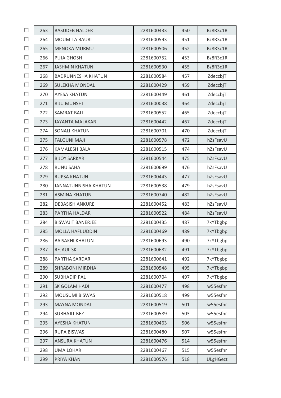| П | 263 | <b>BASUDEB HALDER</b>     | 2281600433 | 450 | Bz8R3c1R        |
|---|-----|---------------------------|------------|-----|-----------------|
| П | 264 | <b>MOUMITA BAURI</b>      | 2281600593 | 451 | Bz8R3c1R        |
| П | 265 | <b>MENOKA MURMU</b>       | 2281600506 | 452 | Bz8R3c1R        |
| П | 266 | <b>PUJA GHOSH</b>         | 2281600752 | 453 | Bz8R3c1R        |
| П | 267 | <b>JASHMIN KHATUN</b>     | 2281600530 | 455 | Bz8R3c1R        |
| П | 268 | <b>BADRUNNESHA KHATUN</b> | 2281600584 | 457 | ZdeccbjT        |
| П | 269 | <b>SULEKHA MONDAL</b>     | 2281600429 | 459 | ZdeccbjT        |
| П | 270 | <b>AYESA KHATUN</b>       | 2281600449 | 461 | ZdeccbjT        |
| П | 271 | <b>RIJU MUNSHI</b>        | 2281600038 | 464 | ZdeccbjT        |
| П | 272 | <b>SAMRAT BALL</b>        | 2281600552 | 465 | ZdeccbjT        |
| П | 273 | <b>JAYANTA MALAKAR</b>    | 2281600442 | 467 | ZdeccbjT        |
| П | 274 | <b>SONALI KHATUN</b>      | 2281600701 | 470 | ZdeccbjT        |
| П | 275 | <b>FALGUNI MAJI</b>       | 2281600578 | 472 | hZsFsavU        |
| П | 276 | <b>KAMALESH BALA</b>      | 2281600515 | 474 | hZsFsavU        |
| П | 277 | <b>BIJOY SARKAR</b>       | 2281600544 | 475 | hZsFsavU        |
| П | 278 | <b>RUNU SAHA</b>          | 2281600699 | 476 | hZsFsavU        |
| П | 279 | <b>RUPSA KHATUN</b>       | 2281600443 | 477 | hZsFsavU        |
| П | 280 | JANNATUNNISHA KHATUN      | 2281600538 | 479 | hZsFsavU        |
| П | 281 | <b>ASMINA KHATUN</b>      | 2281600740 | 482 | hZsFsavU        |
| П | 282 | <b>DEBASISH ANKURE</b>    | 2281600452 | 483 | hZsFsavU        |
| П | 283 | PARTHA HALDAR             | 2281600522 | 484 | hZsFsavU        |
| П | 284 | <b>BISWAJIT BANERJEE</b>  | 2281600435 | 487 | 7kYTbgbp        |
| П | 285 | <b>MOLLA HAFIJUDDIN</b>   | 2281600469 | 489 | 7kYTbgbp        |
| П | 286 | <b>BAISAKHI KHATUN</b>    | 2281600693 | 490 | 7kYTbgbp        |
| П | 287 | <b>REJAUL SK</b>          | 2281600682 | 491 | 7kYTbgbp        |
| П | 288 | PARTHA SARDAR             | 2281600641 | 492 | 7kYTbgbp        |
| П | 289 | <b>SHRABONI MIRDHA</b>    | 2281600548 | 495 | 7kYTbgbp        |
| П | 290 | <b>SUBHADIP PAL</b>       | 2281600704 | 497 | 7kYTbgbp        |
| П | 291 | SK GOLAM HADI             | 2281600477 | 498 | w55esfnr        |
| П | 292 | MOUSUMI BISWAS            | 2281600518 | 499 | w55esfnr        |
| П | 293 | <b>MAYNA MONDAL</b>       | 2281600519 | 501 | w55esfnr        |
| П | 294 | <b>SUBHAJIT BEZ</b>       | 2281600589 | 503 | w55esfnr        |
| П | 295 | <b>AYESHA KHATUN</b>      | 2281600463 | 506 | w55esfnr        |
| П | 296 | <b>RUPA BISWAS</b>        | 2281600480 | 507 | w55esfnr        |
| П | 297 | <b>ANSURA KHATUN</b>      | 2281600476 | 514 | w55esfnr        |
| П | 298 | <b>UMA LOHAR</b>          | 2281600467 | 515 | w55esfnr        |
| П | 299 | PRIYA KHAN                | 2281600576 | 518 | <b>ULgHGezt</b> |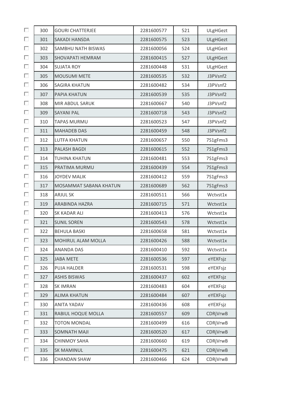| П | 300 | <b>GOURI CHATTERJEE</b> | 2281600577 | 521 | <b>ULgHGezt</b> |
|---|-----|-------------------------|------------|-----|-----------------|
| П | 301 | <b>SAKADI HANSDA</b>    | 2281600575 | 523 | <b>ULgHGezt</b> |
| П | 302 | SAMBHU NATH BISWAS      | 2281600056 | 524 | ULgHGezt        |
| П | 303 | SHOVAPATI HEMRAM        | 2281600415 | 527 | <b>ULgHGezt</b> |
| П | 304 | <b>SUJATA ROY</b>       | 2281600448 | 531 | ULgHGezt        |
| П | 305 | <b>MOUSUMI METE</b>     | 2281600535 | 532 | J3PVsnf2        |
| П | 306 | <b>SAGIRA KHATUN</b>    | 2281600482 | 534 | J3PVsnf2        |
| П | 307 | PAPIA KHATUN            | 2281600539 | 535 | J3PVsnf2        |
| П | 308 | MIR ABDUL SARUK         | 2281600667 | 540 | J3PVsnf2        |
| П | 309 | <b>SAYANI PAL</b>       | 2281600718 | 543 | J3PVsnf2        |
| п | 310 | <b>TAPAS MURMU</b>      | 2281600523 | 547 | J3PVsnf2        |
| П | 311 | <b>MAHADEB DAS</b>      | 2281600459 | 548 | J3PVsnf2        |
| П | 312 | <b>LUTFA KHATUN</b>     | 2281600657 | 550 | 7S1gFms3        |
| П | 313 | <b>PALASH BAGDI</b>     | 2281600615 | 552 | 7S1gFms3        |
| П | 314 | <b>TUHINA KHATUN</b>    | 2281600481 | 553 | 7S1gFms3        |
| П | 315 | PRATIMA MURMU           | 2281600439 | 554 | 7S1gFms3        |
| П | 316 | <b>JOYDEV MALIK</b>     | 2281600412 | 559 | 7S1gFms3        |
| П | 317 | MOSAMMAT SABANA KHATUN  | 2281600689 | 562 | 7S1gFms3        |
| П | 318 | <b>ARJUL SK</b>         | 2281600511 | 566 | Wctvst1x        |
| П | 319 | ARABINDA HAZRA          | 2281600715 | 571 | Wctvst1x        |
| П | 320 | SK KADAR ALI            | 2281600413 | 576 | Wctvst1x        |
| п | 321 | <b>SUNIL SOREN</b>      | 2281600543 | 578 | Wctvst1x        |
| П | 322 | <b>BEHULA BASKI</b>     | 2281600658 | 581 | Wctvst1x        |
| П | 323 | MOHIRUL ALAM MOLLA      | 2281600426 | 588 | Wctvst1x        |
| П | 324 | <b>ANANDA DAS</b>       | 2281600410 | 592 | Wctvst1x        |
| П | 325 | <b>JABA METE</b>        | 2281600536 | 597 | eYEXFsjz        |
| П | 326 | <b>PUJA HALDER</b>      | 2281600531 | 598 | eYEXFsjz        |
| П | 327 | <b>ASHIS BISWAS</b>     | 2281600437 | 602 | eYEXFsjz        |
| П | 328 | <b>SK IMRAN</b>         | 2281600483 | 604 | eYEXFsjz        |
| П | 329 | <b>ALIMA KHATUN</b>     | 2281600484 | 607 | eYEXFsjz        |
| П | 330 | <b>ANITA YADAV</b>      | 2281600436 | 608 | eYEXFsjz        |
| П | 331 | RABIUL HOQUE MOLLA      | 2281600557 | 609 | CDRjVrwB        |
| П | 332 | <b>TOTON MONDAL</b>     | 2281600499 | 616 | CDRjVrwB        |
| П | 333 | <b>SOMNATH MAJI</b>     | 2281600520 | 617 | CDRjVrwB        |
| П | 334 | <b>CHINMOY SAHA</b>     | 2281600660 | 619 | CDRjVrwB        |
| П | 335 | <b>SK MAMINUL</b>       | 2281600475 | 621 | CDRjVrwB        |
| П | 336 | <b>CHANDAN SHAW</b>     | 2281600466 | 624 | CDRjVrwB        |